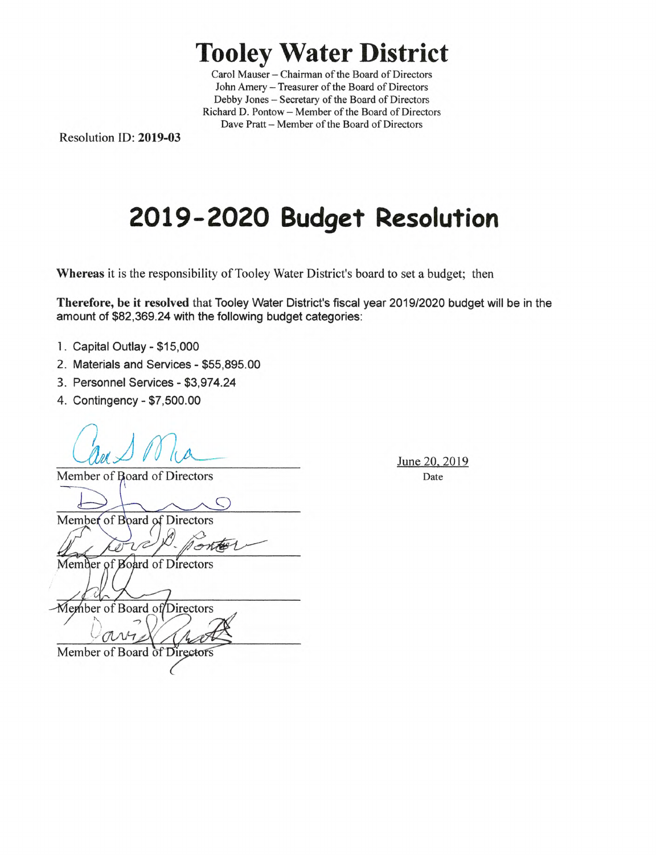## **Tooley Water District**

Carol Mauser – Chairman of the Board of Directors John Amery - Treasurer of the Board of Directors Debby Jones - Secretary of the Board of Directors Richard D. Pontow— Member of the Board of Directors Dave Pratt - Member of the Board of Directors

Resolution ID: **2019-03** 

# **2019-2020 Budget Resolution**

**Whereas** it is the responsibility of Tooley Water District's board to set a budget; then

**Therefore, be it resolved** that Tooley Water District's fiscal year 2019/2020 budget will be in the amount of \$82,369.24 with the following budget categories:

- 1. Capital Outlay \$15,000
- 2. Materials and Services \$55,895.00
- 3. Personnel Services \$3,974.24
- 4. Contingency \$7,500.00

Sune 20, 2<br>
Member of Board of Directors Date

Member of Board of Directors

Member of Board of Directors

Member of Board of Directors

Member of Board of Directors

June 20, 2019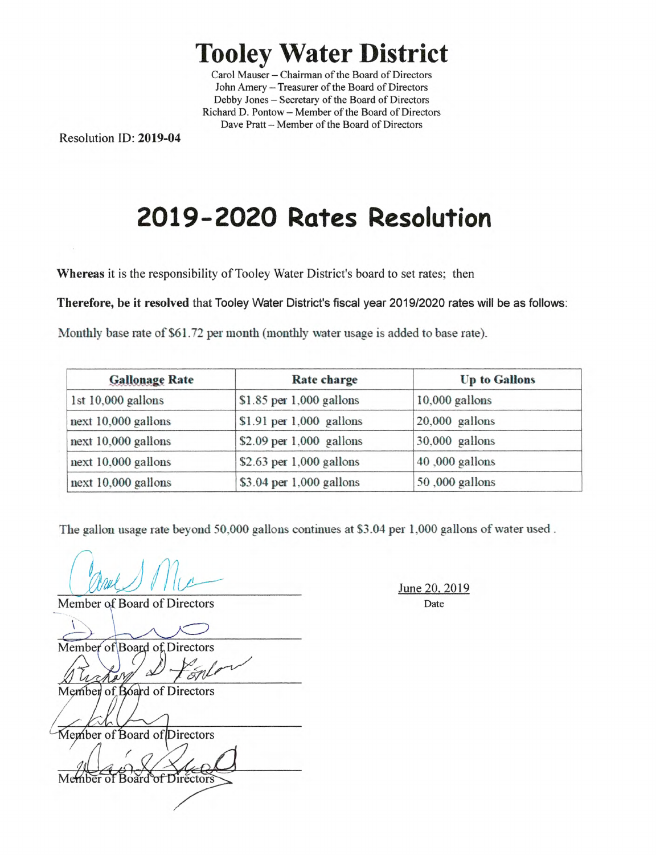### **Tooley Water District**

Carol Mauser—Chairman of the Board of Directors John Amery - Treasurer of the Board of Directors Debby Jones - Secretary of the Board of Directors Richard D. Pontow— Member of the Board of Directors Dave Pratt - Member of the Board of Directors

Resolution ID: 2019-04

# **2019-2020 Rates Resolution**

Whereas it is the responsibility of Tooley Water District's board to set rates; then

Therefore, be it resolved that Tooley Water District's fiscal year 2019/2020 rates will be as follows:

Monthly base rate of S61.72 per month (monthly water usage is added to base rate).

| <b>Gallonage Rate</b> | Rate charge                | <b>Up to Gallons</b> |
|-----------------------|----------------------------|----------------------|
| 1st 10,000 gallons    | \$1.85 per $1,000$ gallons | $10,000$ gallons     |
| next $10,000$ gallons | \$1.91 per 1,000 gallons   | $20,000$ gallons     |
| next 10,000 gallons   | \$2.09 per $1,000$ gallons | $30,000$ gallons     |
| next 10,000 gallons   | \$2.63 per $1,000$ gallons | 40,000 gallons       |
| next $10,000$ gallons | $$3.04$ per 1,000 gallons  | 50,000 gallons       |

The gallon usage rate beyond 50.000 gallons continues at \$3.04 per 1,000 gallons of water used.

 $@cccc@{}$  Mic

Member of Board of Directors

Member of Board of Directors

Member of Board of Directors

ber of Board of Directors

Member of Board of Directors

June 20, 2019 Date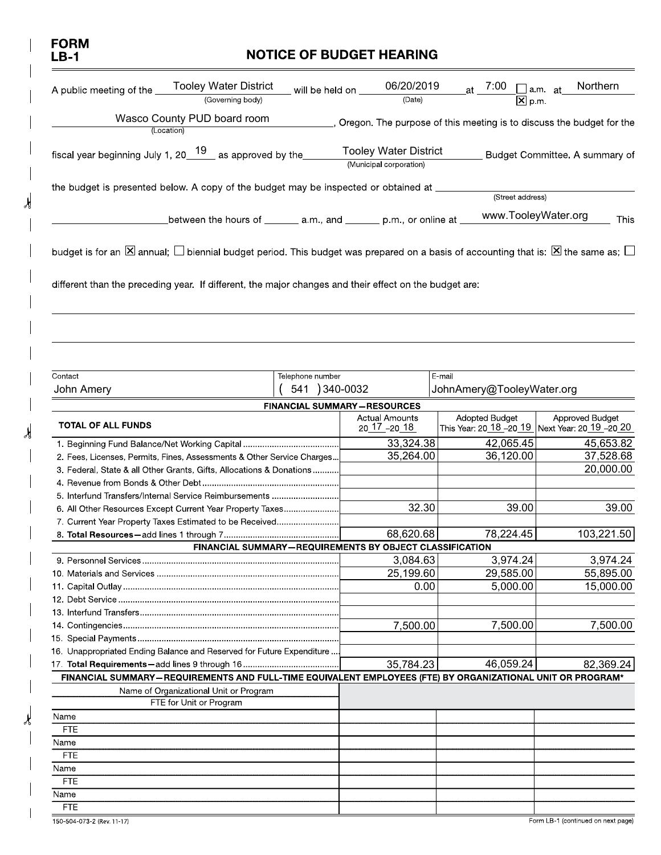| <b>FORM</b><br>LB-1                                                                                                  |                  | <b>NOTICE OF BUDGET HEARING</b>                         |        |                           |                                                                      |
|----------------------------------------------------------------------------------------------------------------------|------------------|---------------------------------------------------------|--------|---------------------------|----------------------------------------------------------------------|
| <b>Tooley Water District</b><br>A public meeting of the<br>(Governing body)                                          | will be held on  | 06/20/2019<br>(Date)                                    |        | $\overline{X}$ p m.       | Northern<br>∐am at                                                   |
| Wasco County PUD board room                                                                                          |                  |                                                         |        |                           | oregon. The purpose of this meeting is to discuss the budget for the |
| (Location)<br>fiscal year beginning July 1, 20 $19$ as approved by the                                               |                  | <b>Tooley Water District</b><br>(Municipal corporation) |        |                           | Budget Committee. A summary of                                       |
| the budget is presented below. A copy of the budget may be inspected or obtained at _____                            |                  |                                                         |        | (Street address)          |                                                                      |
| _between the hours of _______ a.m., and _______ p.m., or online at ___                                               |                  |                                                         |        | www.TooleyWater.org       | This                                                                 |
| Contact                                                                                                              | Telephone number |                                                         |        |                           |                                                                      |
|                                                                                                                      | 541 ) 340-0032   |                                                         | E mail | JohnAmery@TooleyWater.org |                                                                      |
|                                                                                                                      |                  | <b>FINANCIAL SUMMARY-RESOURCES</b>                      |        |                           |                                                                      |
| <b>TOTAL OF ALL FUNDS</b>                                                                                            |                  | <b>Actual Amounts</b><br>20 17 -20 18                   |        | <b>Adopted Budget</b>     | Approved Budget<br>This Year: 20 18 -20 19 Next Year: 20 19 -20 20   |
|                                                                                                                      |                  | 33,324.38                                               |        | 42,065.45                 | 45,653.82                                                            |
| 2. Fees, Licenses, Permits, Fines, Assessments & Other Service Charges                                               |                  | 35,264.00                                               |        | 36,120.00                 | 37,528.68                                                            |
| 3. Federal, State & all Other Grants, Gifts, Allocations & Donations                                                 |                  |                                                         |        |                           | 20,000.00                                                            |
| 5. Interfund Transfers/Internal Service Reimbursements                                                               |                  |                                                         |        |                           |                                                                      |
|                                                                                                                      |                  |                                                         | 32.30  | 39.00                     | 39.00                                                                |
| 7. Current Year Property Taxes Estimated to be Received                                                              |                  | 68,620.68                                               |        | 78,224.45                 | 103,221.50                                                           |
| 6. All Other Resources Except Current Year Property Taxes<br>FINANCIAL SUMMARY-REQUIREMENTS BY OBJECT CLASSIFICATION |                  |                                                         |        |                           |                                                                      |
|                                                                                                                      |                  | 3,084.63                                                |        | 3,974.24                  | 3,974.24                                                             |
|                                                                                                                      |                  | 25,199.60                                               | 0.00   | 29,585.00<br>5,000.00     | 55,895.00<br>15,000.00                                               |
|                                                                                                                      |                  |                                                         |        |                           |                                                                      |
|                                                                                                                      |                  |                                                         |        |                           |                                                                      |
|                                                                                                                      |                  | 7,500.00                                                |        | 7,500.00                  | 7,500.00                                                             |
|                                                                                                                      |                  |                                                         |        |                           |                                                                      |
| John Amery<br>16. Unappropriated Ending Balance and Reserved for Future Expenditure                                  |                  | 35,784.23                                               |        | 46,059.24                 | 82,369.24                                                            |
| FINANCIAL SUMMARY-REQUIREMENTS AND FULL-TIME EQUIVALENT EMPLOYEES (FTE) BY ORGANIZATIONAL UNIT OR PROGRAM*           |                  |                                                         |        |                           |                                                                      |
| Name of Organizational Unit or Program<br>FTE for Unit or Program                                                    |                  |                                                         |        |                           |                                                                      |
| Name                                                                                                                 |                  |                                                         |        |                           |                                                                      |
| <b>FTE</b>                                                                                                           |                  |                                                         |        |                           |                                                                      |
| Name<br><b>FTE</b>                                                                                                   |                  |                                                         |        |                           |                                                                      |
| Name                                                                                                                 |                  |                                                         |        |                           |                                                                      |
| <b>FTE</b>                                                                                                           |                  |                                                         |        |                           |                                                                      |
| Name<br><b>FTE</b>                                                                                                   |                  |                                                         |        |                           |                                                                      |

 $\lambda$ 

y

 $\chi$ 

 $\overline{\phantom{a}}$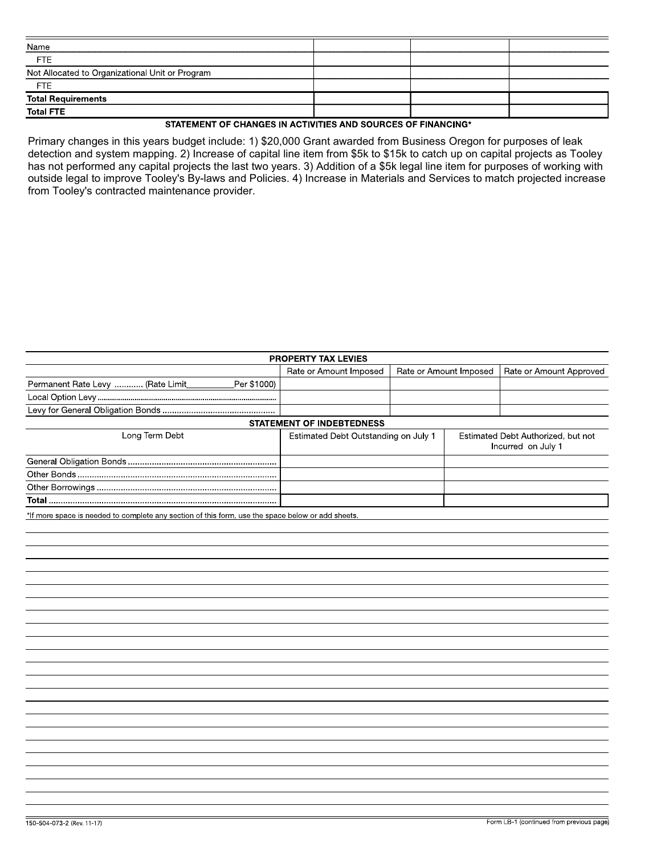| <b>FTE</b><br><b>FTE</b><br>STATEMENT OF CHANGES IN ACTIVITIES AND SOURCES OF FINANCING*                                                                                                                                                                                                                                                                                                                                                                                                                       |                                                 |  |  |
|----------------------------------------------------------------------------------------------------------------------------------------------------------------------------------------------------------------------------------------------------------------------------------------------------------------------------------------------------------------------------------------------------------------------------------------------------------------------------------------------------------------|-------------------------------------------------|--|--|
| Primary changes in this years budget include: 1) \$20,000 Grant awarded from Business Oregon for purposes of leak<br>detection and system mapping. 2) Increase of capital line item from \$5k to \$15k to catch up on capital projects as Tooley<br>has not performed any capital projects the last two years. 3) Addition of a \$5k legal line item for purposes of working with<br>outside legal to improve Tooley's By-laws and Policies. 4) Increase in Materials and Services to match projected increase |                                                 |  |  |
|                                                                                                                                                                                                                                                                                                                                                                                                                                                                                                                |                                                 |  |  |
|                                                                                                                                                                                                                                                                                                                                                                                                                                                                                                                |                                                 |  |  |
|                                                                                                                                                                                                                                                                                                                                                                                                                                                                                                                |                                                 |  |  |
|                                                                                                                                                                                                                                                                                                                                                                                                                                                                                                                |                                                 |  |  |
|                                                                                                                                                                                                                                                                                                                                                                                                                                                                                                                |                                                 |  |  |
|                                                                                                                                                                                                                                                                                                                                                                                                                                                                                                                |                                                 |  |  |
|                                                                                                                                                                                                                                                                                                                                                                                                                                                                                                                |                                                 |  |  |
|                                                                                                                                                                                                                                                                                                                                                                                                                                                                                                                |                                                 |  |  |
|                                                                                                                                                                                                                                                                                                                                                                                                                                                                                                                |                                                 |  |  |
|                                                                                                                                                                                                                                                                                                                                                                                                                                                                                                                |                                                 |  |  |
|                                                                                                                                                                                                                                                                                                                                                                                                                                                                                                                |                                                 |  |  |
|                                                                                                                                                                                                                                                                                                                                                                                                                                                                                                                | Name                                            |  |  |
|                                                                                                                                                                                                                                                                                                                                                                                                                                                                                                                |                                                 |  |  |
|                                                                                                                                                                                                                                                                                                                                                                                                                                                                                                                | Not Allocated to Organizational Unit or Program |  |  |
|                                                                                                                                                                                                                                                                                                                                                                                                                                                                                                                |                                                 |  |  |
|                                                                                                                                                                                                                                                                                                                                                                                                                                                                                                                | <b>Total Requirements</b>                       |  |  |
|                                                                                                                                                                                                                                                                                                                                                                                                                                                                                                                | <b>Total FTE</b>                                |  |  |
|                                                                                                                                                                                                                                                                                                                                                                                                                                                                                                                |                                                 |  |  |
|                                                                                                                                                                                                                                                                                                                                                                                                                                                                                                                | from Tooley's contracted maintenance provider.  |  |  |
|                                                                                                                                                                                                                                                                                                                                                                                                                                                                                                                |                                                 |  |  |
|                                                                                                                                                                                                                                                                                                                                                                                                                                                                                                                |                                                 |  |  |
|                                                                                                                                                                                                                                                                                                                                                                                                                                                                                                                |                                                 |  |  |
|                                                                                                                                                                                                                                                                                                                                                                                                                                                                                                                |                                                 |  |  |

|                                                                                                   | PROPERTY TAX LEVIES                  |                        |                                                          |                         |
|---------------------------------------------------------------------------------------------------|--------------------------------------|------------------------|----------------------------------------------------------|-------------------------|
|                                                                                                   | Rate or Amount Imposed               | Rate or Amount Imposed |                                                          | Rate or Amount Approved |
| Per \$1000)<br>Permanent Rate Levy  (Rate Limit                                                   |                                      |                        |                                                          |                         |
|                                                                                                   |                                      |                        |                                                          |                         |
|                                                                                                   |                                      |                        |                                                          |                         |
|                                                                                                   | <b>STATEMENT OF INDEBTEDNESS</b>     |                        |                                                          |                         |
| Long Term Debt                                                                                    | Estimated Debt Outstanding on July 1 |                        | Estimated Debt Authorized, but not<br>Incurred on July 1 |                         |
|                                                                                                   |                                      |                        |                                                          |                         |
|                                                                                                   |                                      |                        |                                                          |                         |
|                                                                                                   |                                      |                        |                                                          |                         |
| <b>Total</b> ………………………………………………………………………………………                                                    |                                      |                        |                                                          |                         |
| *If more space is needed to complete any section of this form, use the space below or add sheets. |                                      |                        |                                                          |                         |
|                                                                                                   |                                      |                        |                                                          |                         |
|                                                                                                   |                                      |                        |                                                          |                         |
|                                                                                                   |                                      |                        |                                                          |                         |
|                                                                                                   |                                      |                        |                                                          |                         |
|                                                                                                   |                                      |                        |                                                          |                         |
|                                                                                                   |                                      |                        |                                                          |                         |
|                                                                                                   |                                      |                        |                                                          |                         |
|                                                                                                   |                                      |                        |                                                          |                         |
|                                                                                                   |                                      |                        |                                                          |                         |
|                                                                                                   |                                      |                        |                                                          |                         |
|                                                                                                   |                                      |                        |                                                          |                         |
|                                                                                                   |                                      |                        |                                                          |                         |
|                                                                                                   |                                      |                        |                                                          |                         |
|                                                                                                   |                                      |                        |                                                          |                         |
|                                                                                                   |                                      |                        |                                                          |                         |
|                                                                                                   |                                      |                        |                                                          |                         |
|                                                                                                   |                                      |                        |                                                          |                         |
|                                                                                                   |                                      |                        |                                                          |                         |
|                                                                                                   |                                      |                        |                                                          |                         |
|                                                                                                   |                                      |                        |                                                          |                         |
|                                                                                                   |                                      |                        |                                                          |                         |
|                                                                                                   |                                      |                        |                                                          |                         |
|                                                                                                   |                                      |                        |                                                          |                         |
|                                                                                                   |                                      |                        |                                                          |                         |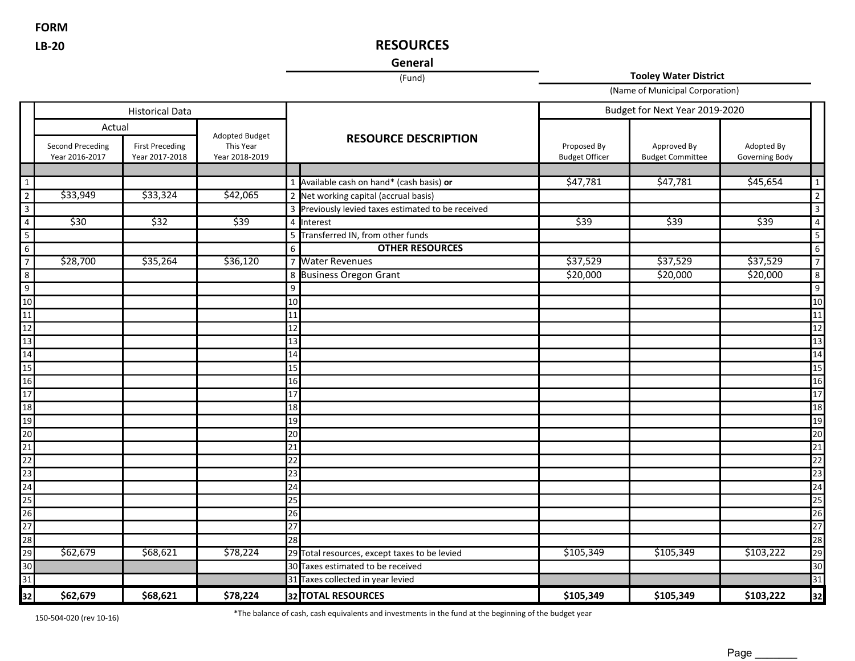**FORM**

### **LB-20 RESOURCES**

### **General**

(Fund) **Tooley Water District**

(Name of Municipal Corporation)

|                         | <b>Historical Data</b>                    |                                          |                                               |                 | Budget for Next Year 2019-2020                     |                                      |                                        |                              |                 |
|-------------------------|-------------------------------------------|------------------------------------------|-----------------------------------------------|-----------------|----------------------------------------------------|--------------------------------------|----------------------------------------|------------------------------|-----------------|
|                         | Actual                                    |                                          |                                               |                 |                                                    |                                      |                                        |                              |                 |
|                         | <b>Second Preceding</b><br>Year 2016-2017 | <b>First Preceding</b><br>Year 2017-2018 | Adopted Budget<br>This Year<br>Year 2018-2019 |                 | <b>RESOURCE DESCRIPTION</b>                        | Proposed By<br><b>Budget Officer</b> | Approved By<br><b>Budget Committee</b> | Adopted By<br>Governing Body |                 |
|                         |                                           |                                          |                                               |                 |                                                    |                                      |                                        |                              |                 |
| $\mathbf{1}$            |                                           |                                          |                                               |                 | 1 Available cash on hand* (cash basis) or          | \$47,781                             | \$47,781                               | \$45,654                     | $\mathbf{1}$    |
| $\overline{2}$          | \$33,949                                  | \$33,324                                 | \$42,065                                      |                 | 2 Net working capital (accrual basis)              |                                      |                                        |                              | $\overline{2}$  |
| $\overline{3}$          |                                           |                                          |                                               |                 | 3 Previously levied taxes estimated to be received |                                      |                                        |                              | $\overline{3}$  |
| $\overline{a}$          | \$30                                      | \$32                                     | \$39                                          |                 | 4 Interest                                         | \$39                                 | \$39                                   | \$39                         | $\overline{4}$  |
| $\overline{\mathbf{5}}$ |                                           |                                          |                                               |                 | 5 Transferred IN, from other funds                 |                                      |                                        |                              | $5\phantom{.0}$ |
| $6\overline{}$          |                                           |                                          |                                               | 6               | <b>OTHER RESOURCES</b>                             |                                      |                                        |                              | 6               |
| $\overline{7}$          | \$28,700                                  | \$35,264                                 | \$36,120                                      |                 | 7 Water Revenues                                   | \$37,529                             | \$37,529                               | \$37,529                     | $\overline{7}$  |
| 8                       |                                           |                                          |                                               |                 | 8 Business Oregon Grant                            | \$20,000                             | \$20,000                               | \$20,000                     | 8               |
| $\mathsf g$             |                                           |                                          |                                               | 9               |                                                    |                                      |                                        |                              | 9               |
| 10                      |                                           |                                          |                                               | $\overline{10}$ |                                                    |                                      |                                        |                              | 10              |
| 11                      |                                           |                                          |                                               | 11              |                                                    |                                      |                                        |                              | 11              |
| 12                      |                                           |                                          |                                               | 12              |                                                    |                                      |                                        |                              | 12              |
| 13                      |                                           |                                          |                                               | $\overline{13}$ |                                                    |                                      |                                        |                              | 13              |
| 14                      |                                           |                                          |                                               | 14              |                                                    |                                      |                                        |                              | 14              |
| $\overline{15}$         |                                           |                                          |                                               | 15              |                                                    |                                      |                                        |                              | 15              |
| 16                      |                                           |                                          |                                               | $\overline{16}$ |                                                    |                                      |                                        |                              | 16              |
| $\overline{17}$         |                                           |                                          |                                               | $\overline{17}$ |                                                    |                                      |                                        |                              | 17              |
| 18                      |                                           |                                          |                                               | 18              |                                                    |                                      |                                        |                              | 18              |
| 19                      |                                           |                                          |                                               | $\overline{19}$ |                                                    |                                      |                                        |                              | 19              |
| $\overline{20}$         |                                           |                                          |                                               | 20              |                                                    |                                      |                                        |                              | 20              |
| $\overline{21}$         |                                           |                                          |                                               | 21              |                                                    |                                      |                                        |                              | 21              |
| $\overline{22}$         |                                           |                                          |                                               | 22              |                                                    |                                      |                                        |                              | 22              |
| $\overline{23}$         |                                           |                                          |                                               | 23              |                                                    |                                      |                                        |                              | 23              |
| $\overline{24}$         |                                           |                                          |                                               | $\overline{24}$ |                                                    |                                      |                                        |                              | $\overline{24}$ |
| $\overline{25}$         |                                           |                                          |                                               | 25              |                                                    |                                      |                                        |                              | 25              |
| 26                      |                                           |                                          |                                               | 26              |                                                    |                                      |                                        |                              | 26              |
| $\frac{27}{28}$         |                                           |                                          |                                               | 27              |                                                    |                                      |                                        |                              | $\overline{27}$ |
|                         |                                           |                                          |                                               | 28              |                                                    |                                      |                                        |                              | 28              |
| 29                      | \$62,679                                  | \$68,621                                 | \$78,224                                      |                 | 29 Total resources, except taxes to be levied      | \$105,349                            | \$105,349                              | \$103,222                    | 29              |
| 30                      |                                           |                                          |                                               |                 | 30 Taxes estimated to be received                  |                                      |                                        |                              | 30              |
| $\overline{31}$         |                                           |                                          |                                               |                 | 31 Taxes collected in year levied                  |                                      |                                        |                              | $\overline{31}$ |
| 32                      | \$62,679                                  | \$68,621                                 | \$78,224                                      |                 | 32 TOTAL RESOURCES                                 | \$105,349                            | \$105,349                              | \$103,222                    | 32              |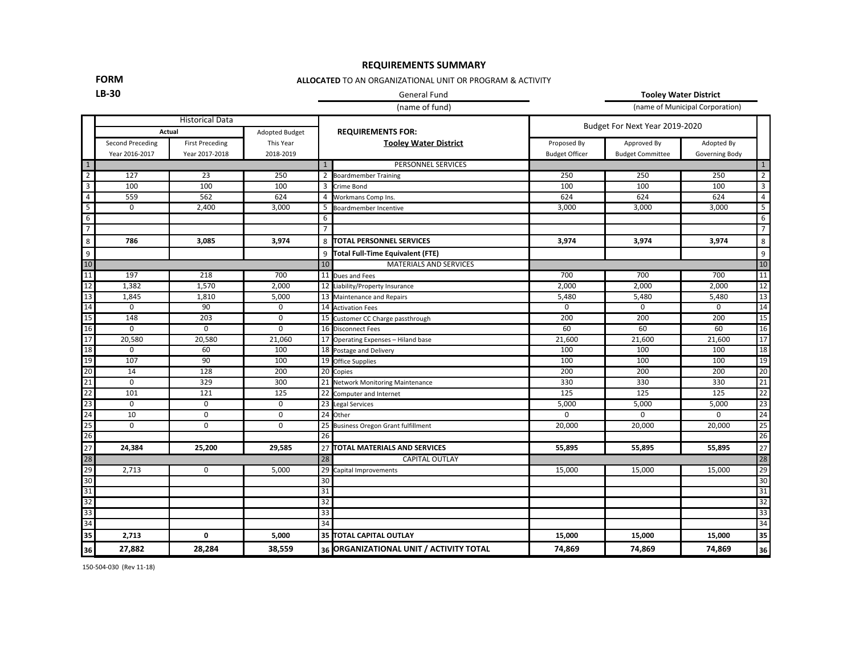#### **REQUIREMENTS SUMMARY**

#### **FORM**

#### **ALLOCATED** TO AN ORGANIZATIONAL UNIT OR PROGRAM & ACTIVITY

### **LB-30** General Fund **Tooley Water District**

(name of fund) (name of Municipal Corporation)

|                 | <b>Historical Data</b> |                        |                |                 |                                         |                       |                                |                |                          |  |
|-----------------|------------------------|------------------------|----------------|-----------------|-----------------------------------------|-----------------------|--------------------------------|----------------|--------------------------|--|
|                 |                        | Actual                 | Adopted Budget |                 | <b>REQUIREMENTS FOR:</b>                |                       | Budget For Next Year 2019-2020 |                |                          |  |
|                 | Second Preceding       | <b>First Preceding</b> | This Year      |                 | <b>Tooley Water District</b>            | Proposed By           | Approved By                    | Adopted By     |                          |  |
|                 | Year 2016-2017         | Year 2017-2018         | 2018-2019      |                 |                                         | <b>Budget Officer</b> | <b>Budget Committee</b>        | Governing Body |                          |  |
| $\overline{1}$  |                        |                        |                | $\mathbf{1}$    | PERSONNEL SERVICES                      |                       |                                |                | $\mathbf{1}$             |  |
| $\overline{2}$  | 127                    | 23                     | 250            | $\overline{2}$  | <b>Boardmember Training</b>             | 250                   | 250                            | 250            | $\overline{2}$           |  |
| $\overline{3}$  | 100                    | 100                    | 100            | 3               | Crime Bond                              | 100                   | 100                            | 100            | $\overline{3}$           |  |
| $\overline{4}$  | 559                    | 562                    | 624            | 4               | Workmans Comp Ins.                      | 624                   | 624                            | 624            | $\overline{4}$           |  |
| 5               | $\mathbf 0$            | 2,400                  | 3,000          | 5               | Boardmember Incentive                   | 3,000                 | 3,000                          | 3,000          | $\overline{\phantom{0}}$ |  |
| $6\overline{6}$ |                        |                        |                | 6               |                                         |                       |                                |                | 6                        |  |
| $\overline{7}$  |                        |                        |                | $\overline{7}$  |                                         |                       |                                |                | $\overline{7}$           |  |
| 8               | 786                    | 3.085                  | 3,974          | 8               | <b>ITOTAL PERSONNEL SERVICES</b>        | 3,974                 | 3,974                          | 3,974          | 8                        |  |
| 9               |                        |                        |                | 9               | Total Full-Time Equivalent (FTE)        |                       |                                |                | 9                        |  |
| 10              |                        |                        |                | 10              | <b>MATERIALS AND SERVICES</b>           |                       |                                |                | $10$                     |  |
| 11              | 197                    | 218                    | 700            |                 | 11 Dues and Fees                        | 700                   | 700                            | 700            | 11                       |  |
| 12              | 1,382                  | 1,570                  | 2,000          |                 | 12 Liability/Property Insurance         | 2,000                 | 2,000                          | 2,000          | $\overline{12}$          |  |
| 13              | 1,845                  | 1,810                  | 5,000          |                 | 13 Maintenance and Repairs              | 5,480                 | 5,480                          | 5,480          | 13                       |  |
| 14              | $\mathbf 0$            | 90                     | 0              |                 | 14 Activation Fees                      | 0                     | $\Omega$                       | $\Omega$       | 14                       |  |
| 15              | 148                    | 203                    | $\mathbf 0$    |                 | 15 Customer CC Charge passthrough       | 200                   | 200                            | 200            | 15                       |  |
| 16              | $\mathbf 0$            | 0                      | $\mathbf 0$    |                 | 16 Disconnect Fees                      | 60                    | 60                             | 60             | 16                       |  |
| 17              | 20,580                 | 20,580                 | 21,060         |                 | 17 Operating Expenses - Hiland base     | 21,600                | 21,600                         | 21,600         | 17                       |  |
| 18              | $\mathbf 0$            | 60                     | 100            |                 | 18 Postage and Delivery                 | 100                   | 100                            | 100            | 18                       |  |
| 19              | 107                    | 90                     | 100            |                 | 19 Office Supplies                      | 100                   | 100                            | 100            | 19                       |  |
| 20              | $\overline{14}$        | 128                    | 200            |                 | 20 Copies                               | 200                   | 200                            | 200            | 20                       |  |
| 21              | $\Omega$               | 329                    | 300            |                 | 21 Network Monitoring Maintenance       | 330                   | 330                            | 330            | $\overline{21}$          |  |
| 22              | 101                    | 121                    | 125            |                 | 22 Computer and Internet                | 125                   | 125                            | 125            | $\overline{22}$          |  |
| 23              | $\mathbf 0$            | $\mathbf 0$            | 0              |                 | 23 Legal Services                       | 5,000                 | 5,000                          | 5,000          | 23                       |  |
| 24              | 10                     | 0                      | $\mathbf 0$    |                 | 24 Other                                | $\Omega$              | $\Omega$                       | 0              | $\overline{24}$          |  |
| 25              | $\Omega$               | 0                      | $\mathbf 0$    |                 | 25 Business Oregon Grant fulfillment    | 20,000                | 20,000                         | 20,000         | 25                       |  |
| 26              |                        |                        |                | 26              |                                         |                       |                                |                | $\overline{26}$          |  |
| 27              | 24,384                 | 25,200                 | 29,585         |                 | 27 TOTAL MATERIALS AND SERVICES         | 55.895                | 55.895                         | 55,895         | 27                       |  |
| 28              |                        |                        |                | $\overline{28}$ | <b>CAPITAL OUTLAY</b>                   |                       |                                |                | $\overline{28}$          |  |
| 29              | 2,713                  | 0                      | 5,000          | 29              | Capital Improvements                    | 15,000                | 15,000                         | 15,000         | $\overline{29}$          |  |
| 30              |                        |                        |                | 30              |                                         |                       |                                |                | 30                       |  |
| 31              |                        |                        |                | 31              |                                         |                       |                                |                | 31                       |  |
| 32              |                        |                        |                | $\overline{32}$ |                                         |                       |                                |                | 32                       |  |
| 33              |                        |                        |                | 33              |                                         |                       |                                |                | 33                       |  |
| 34              |                        |                        |                | $\overline{34}$ |                                         |                       |                                |                | 34                       |  |
| 35              | 2,713                  | 0                      | 5,000          |                 | 35 TOTAL CAPITAL OUTLAY                 | 15,000                | 15,000                         | 15,000         | 35                       |  |
| 36              | 27,882                 | 28,284                 | 38,559         |                 | 36 ORGANIZATIONAL UNIT / ACTIVITY TOTAL | 74,869                | 74,869                         | 74,869         | 36                       |  |

150-504-030 (Rev 11-18)